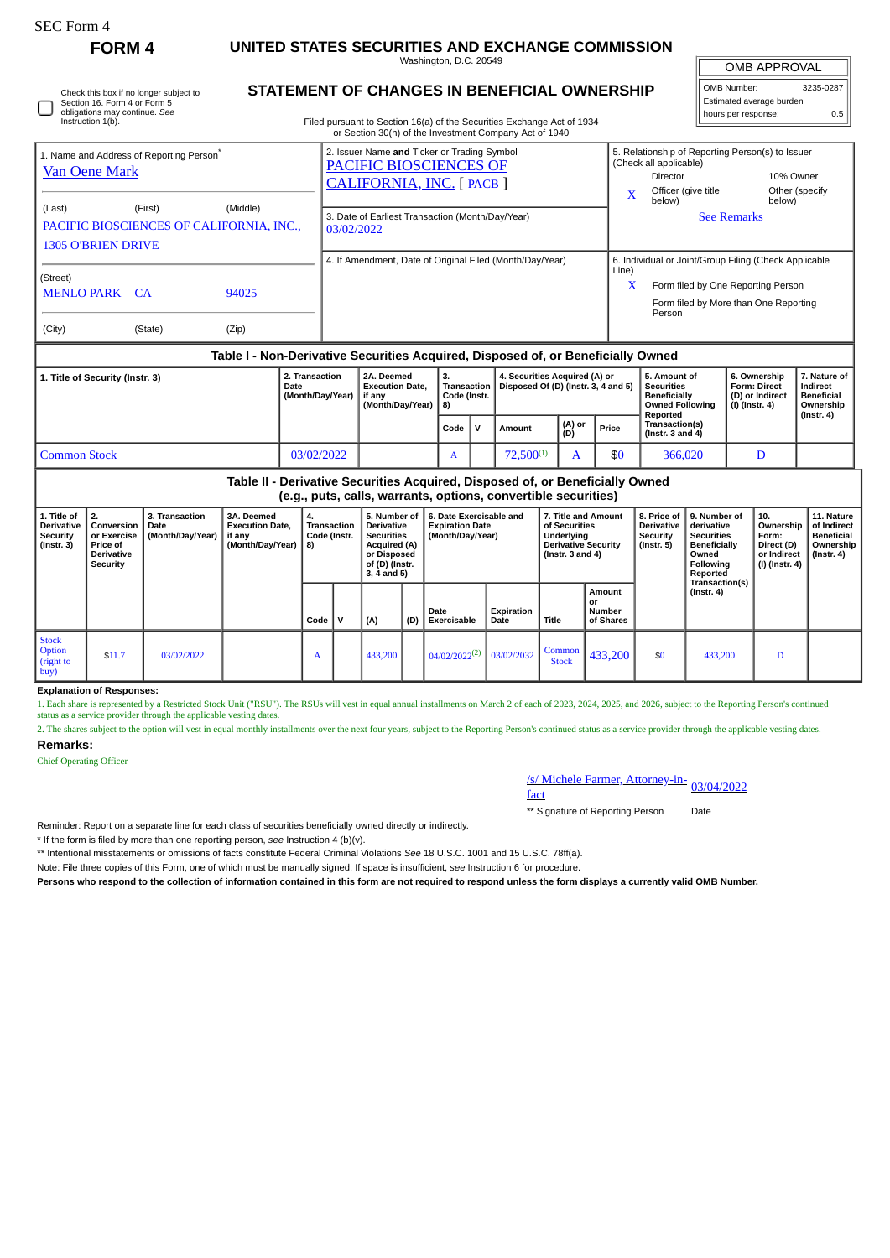| <b>SEC Form 4</b>                                                                                                                                                            |                                                                                     |                                            |                                                                                  |                                                                            |                                                                                                                                                                                                                                |                                                                                                                               |     |                                                                        |   |                                                                      |                                                                                                                 |                                                                |                                                                                         |                                                                                                                                                                                                    |                                                                                                                            |                                                 |                                                                          |                                                                                 |  |
|------------------------------------------------------------------------------------------------------------------------------------------------------------------------------|-------------------------------------------------------------------------------------|--------------------------------------------|----------------------------------------------------------------------------------|----------------------------------------------------------------------------|--------------------------------------------------------------------------------------------------------------------------------------------------------------------------------------------------------------------------------|-------------------------------------------------------------------------------------------------------------------------------|-----|------------------------------------------------------------------------|---|----------------------------------------------------------------------|-----------------------------------------------------------------------------------------------------------------|----------------------------------------------------------------|-----------------------------------------------------------------------------------------|----------------------------------------------------------------------------------------------------------------------------------------------------------------------------------------------------|----------------------------------------------------------------------------------------------------------------------------|-------------------------------------------------|--------------------------------------------------------------------------|---------------------------------------------------------------------------------|--|
| <b>FORM4</b>                                                                                                                                                                 |                                                                                     |                                            |                                                                                  | UNITED STATES SECURITIES AND EXCHANGE COMMISSION<br>Washington, D.C. 20549 |                                                                                                                                                                                                                                |                                                                                                                               |     |                                                                        |   |                                                                      |                                                                                                                 |                                                                |                                                                                         |                                                                                                                                                                                                    |                                                                                                                            | <b>OMB APPROVAL</b>                             |                                                                          |                                                                                 |  |
| STATEMENT OF CHANGES IN BENEFICIAL OWNERSHIP<br>Check this box if no longer subject to<br>Section 16. Form 4 or Form 5<br>obligations may continue. See<br>Instruction 1(b). |                                                                                     |                                            |                                                                                  |                                                                            |                                                                                                                                                                                                                                |                                                                                                                               |     | Filed pursuant to Section 16(a) of the Securities Exchange Act of 1934 |   |                                                                      |                                                                                                                 | OMB Number:<br>Estimated average burden<br>hours per response: |                                                                                         |                                                                                                                                                                                                    |                                                                                                                            | 3235-0287<br>0.5                                |                                                                          |                                                                                 |  |
| 1. Name and Address of Reporting Person <sup>®</sup><br><b>Van Oene Mark</b><br>(Last)<br>(First)<br>(Middle)<br>PACIFIC BIOSCIENCES OF CALIFORNIA, INC.,                    |                                                                                     |                                            |                                                                                  |                                                                            | or Section 30(h) of the Investment Company Act of 1940<br>2. Issuer Name and Ticker or Trading Symbol<br>PACIFIC BIOSCIENCES OF<br>CALIFORNIA, INC. [ PACB ]<br>3. Date of Earliest Transaction (Month/Day/Year)<br>03/02/2022 |                                                                                                                               |     |                                                                        |   |                                                                      |                                                                                                                 |                                                                |                                                                                         | 5. Relationship of Reporting Person(s) to Issuer<br>(Check all applicable)<br><b>Director</b><br>10% Owner<br>Officer (give title<br>Other (specify<br>X<br>below)<br>below)<br><b>See Remarks</b> |                                                                                                                            |                                                 |                                                                          |                                                                                 |  |
| <b>1305 O'BRIEN DRIVE</b><br>(Street)<br><b>MENLO PARK CA</b><br>94025<br>(City)<br>(State)<br>(Zip)                                                                         |                                                                                     |                                            |                                                                                  |                                                                            | 4. If Amendment, Date of Original Filed (Month/Day/Year)<br>6. Individual or Joint/Group Filing (Check Applicable<br>Line)<br>Form filed by One Reporting Person<br>X<br>Form filed by More than One Reporting<br>Person       |                                                                                                                               |     |                                                                        |   |                                                                      |                                                                                                                 |                                                                |                                                                                         |                                                                                                                                                                                                    |                                                                                                                            |                                                 |                                                                          |                                                                                 |  |
|                                                                                                                                                                              |                                                                                     |                                            | Table I - Non-Derivative Securities Acquired, Disposed of, or Beneficially Owned |                                                                            |                                                                                                                                                                                                                                |                                                                                                                               |     |                                                                        |   |                                                                      |                                                                                                                 |                                                                |                                                                                         |                                                                                                                                                                                                    |                                                                                                                            |                                                 |                                                                          |                                                                                 |  |
| 1. Title of Security (Instr. 3)<br>Date                                                                                                                                      |                                                                                     |                                            |                                                                                  | 2. Transaction<br>(Month/Day/Year)                                         |                                                                                                                                                                                                                                | 2A. Deemed<br><b>Execution Date,</b><br>if anv<br>(Month/Day/Year)                                                            |     | 3.<br><b>Transaction</b><br>Code (Instr.<br>8)                         |   | 4. Securities Acquired (A) or<br>Disposed Of (D) (Instr. 3, 4 and 5) |                                                                                                                 |                                                                | 5. Amount of<br><b>Securities</b><br>Beneficially<br><b>Owned Following</b><br>Reported |                                                                                                                                                                                                    | (I) (Instr. 4)                                                                                                             | 6. Ownership<br>Form: Direct<br>(D) or Indirect | 7. Nature of<br>Indirect<br><b>Beneficial</b><br>Ownership               |                                                                                 |  |
|                                                                                                                                                                              |                                                                                     |                                            |                                                                                  |                                                                            |                                                                                                                                                                                                                                |                                                                                                                               |     | Code                                                                   | v | Amount                                                               | (A) or<br>(D)                                                                                                   |                                                                | Price                                                                                   | <b>Transaction(s)</b><br>(Instr. $3$ and $4$ )                                                                                                                                                     |                                                                                                                            |                                                 |                                                                          | $($ lnstr. 4 $)$                                                                |  |
| <b>Common Stock</b><br>03/02/2022                                                                                                                                            |                                                                                     |                                            |                                                                                  |                                                                            |                                                                                                                                                                                                                                |                                                                                                                               |     | $\mathbf{A}$                                                           |   | $72,500^{(1)}$<br>A                                                  |                                                                                                                 | \$0                                                            | 366,020                                                                                 |                                                                                                                                                                                                    | D                                                                                                                          |                                                 |                                                                          |                                                                                 |  |
|                                                                                                                                                                              |                                                                                     |                                            | Table II - Derivative Securities Acquired, Disposed of, or Beneficially Owned    |                                                                            |                                                                                                                                                                                                                                |                                                                                                                               |     | (e.g., puts, calls, warrants, options, convertible securities)         |   |                                                                      |                                                                                                                 |                                                                |                                                                                         |                                                                                                                                                                                                    |                                                                                                                            |                                                 |                                                                          |                                                                                 |  |
| 1. Title of<br><b>Derivative</b><br>Security<br>$($ Instr. 3 $)$                                                                                                             | 2.<br>Conversion<br>or Exercise<br>Price of<br><b>Derivative</b><br><b>Security</b> | 3. Transaction<br>Date<br>(Month/Day/Year) | 3A. Deemed<br><b>Execution Date.</b><br>if any<br>(Month/Day/Year)               | 4.<br><b>Transaction</b><br>Code (Instr.<br>8)                             |                                                                                                                                                                                                                                | 5. Number of<br><b>Derivative</b><br><b>Securities</b><br><b>Acquired (A)</b><br>or Disposed<br>of (D) (Instr.<br>3, 4 and 5) |     | 6. Date Exercisable and<br><b>Expiration Date</b><br>(Month/Day/Year)  |   |                                                                      | 7. Title and Amount<br>of Securities<br><b>Underlying</b><br><b>Derivative Security</b><br>( $lnstr. 3 and 4$ ) |                                                                |                                                                                         | 8. Price of<br><b>Derivative</b><br><b>Security</b><br>$($ Instr. 5 $)$                                                                                                                            | 9. Number of<br>derivative<br><b>Securities</b><br><b>Beneficially</b><br>Owned<br>Following<br>Reported<br>Transaction(s) |                                                 | 10.<br>Ownership<br>Form:<br>Direct (D)<br>or Indirect<br>(I) (Instr. 4) | 11. Nature<br>of Indirect<br><b>Beneficial</b><br>Ownership<br>$($ lnstr. 4 $)$ |  |
|                                                                                                                                                                              |                                                                                     |                                            |                                                                                  | Code                                                                       | v                                                                                                                                                                                                                              | (A)                                                                                                                           | (D) | Date<br>Exercisable                                                    |   | Expiration<br>Date                                                   | <b>Title</b>                                                                                                    | or                                                             | <b>Amount</b><br><b>Number</b><br>of Shares                                             |                                                                                                                                                                                                    | $($ Instr. 4 $)$                                                                                                           |                                                 |                                                                          |                                                                                 |  |
| <b>Stock</b><br>Option<br>(right to<br>buy)                                                                                                                                  | \$11.7                                                                              | 03/02/2022                                 |                                                                                  | A                                                                          |                                                                                                                                                                                                                                | 433,200                                                                                                                       |     | $04/02/2022^{(2)}$                                                     |   | 03/02/2032                                                           | Common<br><b>Stock</b>                                                                                          |                                                                | 433,200                                                                                 | \$0                                                                                                                                                                                                | 433,200                                                                                                                    |                                                 | D                                                                        |                                                                                 |  |

## **Explanation of Responses:**

1. Each share is represented by a Restricted Stock Unit ("RSU"). The RSUs will vest in equal annual installments on March 2 of each of 2023, 2024, 2025, and 2026, subject to the Reporting Person's continued status as a service provider through the applicable vesting dates.

2. The shares subject to the option will vest in equal monthly installments over the next four years, subject to the Reporting Person's continued status as a service provider through the applicable vesting dates. **Remarks:**

Chief Operating Officer

## /s/ Michele Farmer, Attorney-in-<br>fact

\*\* Signature of Reporting Person Date

Reminder: Report on a separate line for each class of securities beneficially owned directly or indirectly.

\* If the form is filed by more than one reporting person, *see* Instruction 4 (b)(v).

\*\* Intentional misstatements or omissions of facts constitute Federal Criminal Violations *See* 18 U.S.C. 1001 and 15 U.S.C. 78ff(a).

Note: File three copies of this Form, one of which must be manually signed. If space is insufficient, *see* Instruction 6 for procedure.

**Persons who respond to the collection of information contained in this form are not required to respond unless the form displays a currently valid OMB Number.**